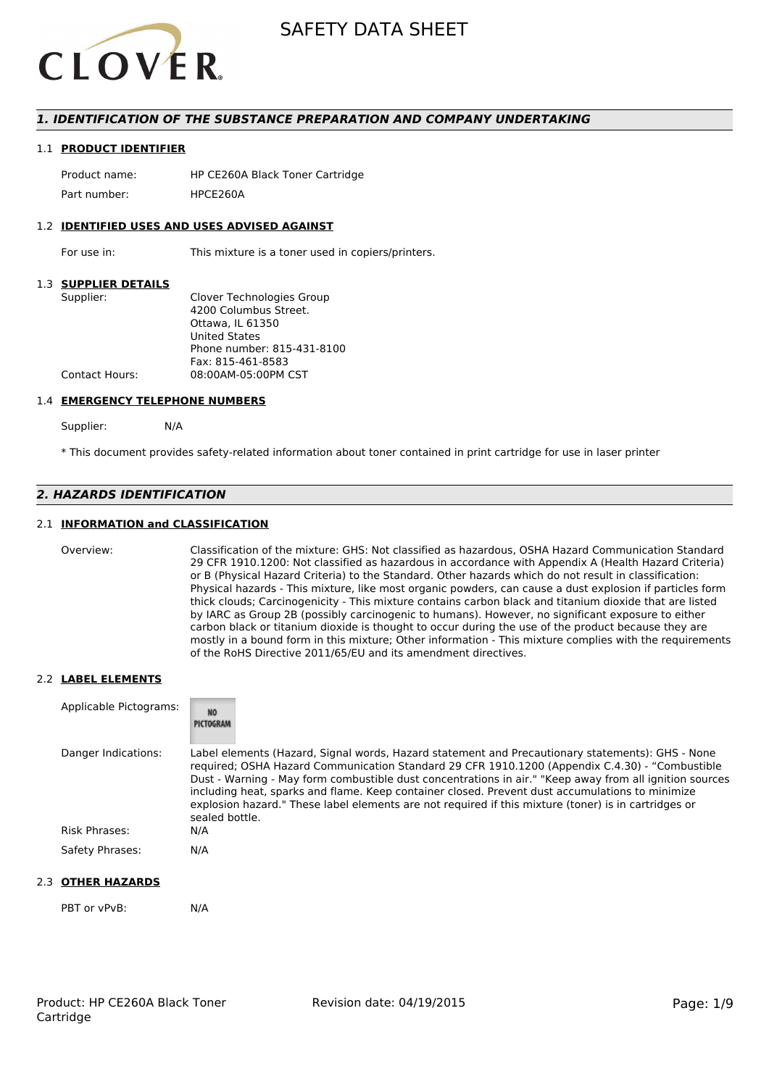

#### *1. IDENTIFICATION OF THE SUBSTANCE PREPARATION AND COMPANY UNDERTAKING*

#### 1.1 **PRODUCT IDENTIFIER**

Product name: HP CE260A Black Toner Cartridge Part number: HPCE260A

#### 1.2 **IDENTIFIED USES AND USES ADVISED AGAINST**

For use in: This mixture is a toner used in copiers/printers.

#### 1.3 **SUPPLIER DETAILS**

| Supplier:             | Clover Technologies Group  |
|-----------------------|----------------------------|
|                       | 4200 Columbus Street.      |
|                       | Ottawa. IL 61350           |
|                       | United States              |
|                       | Phone number: 815-431-8100 |
|                       | Fax: 815-461-8583          |
| <b>Contact Hours:</b> | 08:00AM-05:00PM CST        |
|                       |                            |

#### 1.4 **EMERGENCY TELEPHONE NUMBERS**

Supplier: N/A

\* This document provides safety-related information about toner contained in print cartridge for use in laser printer

#### *2. HAZARDS IDENTIFICATION*

#### 2.1 **INFORMATION and CLASSIFICATION**

Overview: Classification of the mixture: GHS: Not classified as hazardous, OSHA Hazard Communication Standard 29 CFR 1910.1200: Not classified as hazardous in accordance with Appendix A (Health Hazard Criteria) or B (Physical Hazard Criteria) to the Standard. Other hazards which do not result in classification: Physical hazards - This mixture, like most organic powders, can cause a dust explosion if particles form thick clouds; Carcinogenicity - This mixture contains carbon black and titanium dioxide that are listed by IARC as Group 2B (possibly carcinogenic to humans). However, no significant exposure to either carbon black or titanium dioxide is thought to occur during the use of the product because they are mostly in a bound form in this mixture; Other information - This mixture complies with the requirements of the RoHS Directive 2011/65/EU and its amendment directives.

#### 2.2 **LABEL ELEMENTS**

| Applicable Pictograms: | <b>NO</b><br>PICTOGRAM                                                                                                                                                                                                                                                                                                                                                                                                                                                                                                                     |
|------------------------|--------------------------------------------------------------------------------------------------------------------------------------------------------------------------------------------------------------------------------------------------------------------------------------------------------------------------------------------------------------------------------------------------------------------------------------------------------------------------------------------------------------------------------------------|
| Danger Indications:    | Label elements (Hazard, Signal words, Hazard statement and Precautionary statements): GHS - None<br>required; OSHA Hazard Communication Standard 29 CFR 1910.1200 (Appendix C.4.30) - "Combustible<br>Dust - Warning - May form combustible dust concentrations in air." "Keep away from all ignition sources<br>including heat, sparks and flame. Keep container closed. Prevent dust accumulations to minimize<br>explosion hazard." These label elements are not required if this mixture (toner) is in cartridges or<br>sealed bottle. |
| <b>Risk Phrases:</b>   | N/A                                                                                                                                                                                                                                                                                                                                                                                                                                                                                                                                        |
| Safety Phrases:        | N/A                                                                                                                                                                                                                                                                                                                                                                                                                                                                                                                                        |

#### 2.3 **OTHER HAZARDS**

PBT or vPvB: N/A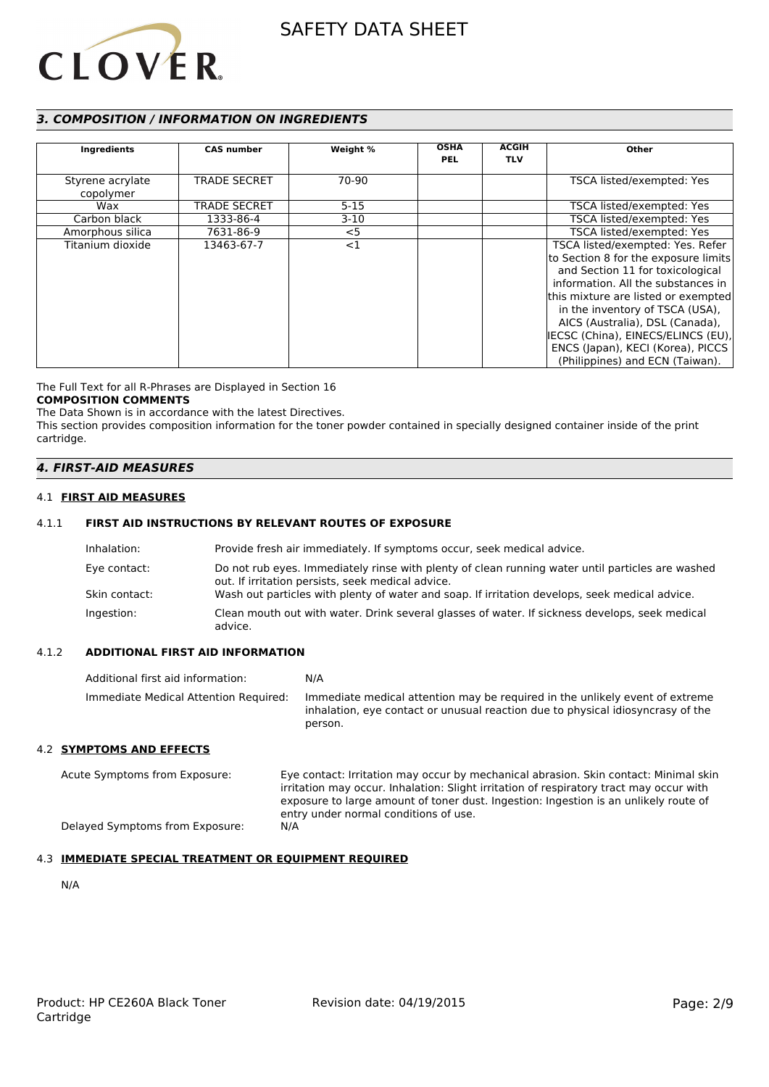# **CLOVER**

#### *3. COMPOSITION / INFORMATION ON INGREDIENTS*

| Ingredients                   | <b>CAS number</b>   | Weight % | <b>OSHA</b><br><b>PEL</b> | <b>ACGIH</b><br><b>TLV</b> | Other                                                                                                                                                                                                                                                                                                                                                                         |
|-------------------------------|---------------------|----------|---------------------------|----------------------------|-------------------------------------------------------------------------------------------------------------------------------------------------------------------------------------------------------------------------------------------------------------------------------------------------------------------------------------------------------------------------------|
| Styrene acrylate<br>copolymer | <b>TRADE SECRET</b> | 70-90    |                           |                            | TSCA listed/exempted: Yes                                                                                                                                                                                                                                                                                                                                                     |
| Wax                           | <b>TRADE SECRET</b> | $5 - 15$ |                           |                            | TSCA listed/exempted: Yes                                                                                                                                                                                                                                                                                                                                                     |
| Carbon black                  | 1333-86-4           | $3-10$   |                           |                            | TSCA listed/exempted: Yes                                                                                                                                                                                                                                                                                                                                                     |
| Amorphous silica              | 7631-86-9           | $<$ 5    |                           |                            | TSCA listed/exempted: Yes                                                                                                                                                                                                                                                                                                                                                     |
| Titanium dioxide              | 13463-67-7          | $<$ 1    |                           |                            | TSCA listed/exempted: Yes. Refer<br>to Section 8 for the exposure limits<br>and Section 11 for toxicological<br>information. All the substances in<br>this mixture are listed or exempted<br>in the inventory of TSCA (USA),<br>AICS (Australia), DSL (Canada),<br>IECSC (China), EINECS/ELINCS (EU),<br>ENCS (Japan), KECI (Korea), PICCS<br>(Philippines) and ECN (Taiwan). |

The Full Text for all R-Phrases are Displayed in Section 16

#### **COMPOSITION COMMENTS**

The Data Shown is in accordance with the latest Directives. This section provides composition information for the toner powder contained in specially designed container inside of the print cartridge.

#### *4. FIRST-AID MEASURES*

#### 4.1 **FIRST AID MEASURES**

#### 4.1.1 **FIRST AID INSTRUCTIONS BY RELEVANT ROUTES OF EXPOSURE**

| Inhalation:   | Provide fresh air immediately. If symptoms occur, seek medical advice.                                                                                |
|---------------|-------------------------------------------------------------------------------------------------------------------------------------------------------|
| Eye contact:  | Do not rub eyes. Immediately rinse with plenty of clean running water until particles are washed<br>out. If irritation persists, seek medical advice. |
| Skin contact: | Wash out particles with plenty of water and soap. If irritation develops, seek medical advice.                                                        |
| Ingestion:    | Clean mouth out with water. Drink several glasses of water. If sickness develops, seek medical<br>advice.                                             |

#### 4.1.2 **ADDITIONAL FIRST AID INFORMATION**

| Additional first aid information:     | N/A                                                                                                                                                                        |
|---------------------------------------|----------------------------------------------------------------------------------------------------------------------------------------------------------------------------|
| Immediate Medical Attention Required: | Immediate medical attention may be required in the unlikely event of extreme<br>inhalation, eye contact or unusual reaction due to physical idiosyncrasy of the<br>person. |

#### 4.2 **SYMPTOMS AND EFFECTS**

Acute Symptoms from Exposure: Eye contact: Irritation may occur by mechanical abrasion. Skin contact: Minimal skin irritation may occur. Inhalation: Slight irritation of respiratory tract may occur with exposure to large amount of toner dust. Ingestion: Ingestion is an unlikely route of entry under normal conditions of use. Delayed Symptoms from Exposure: N/A

#### 4.3 **IMMEDIATE SPECIAL TREATMENT OR EQUIPMENT REQUIRED**

N/A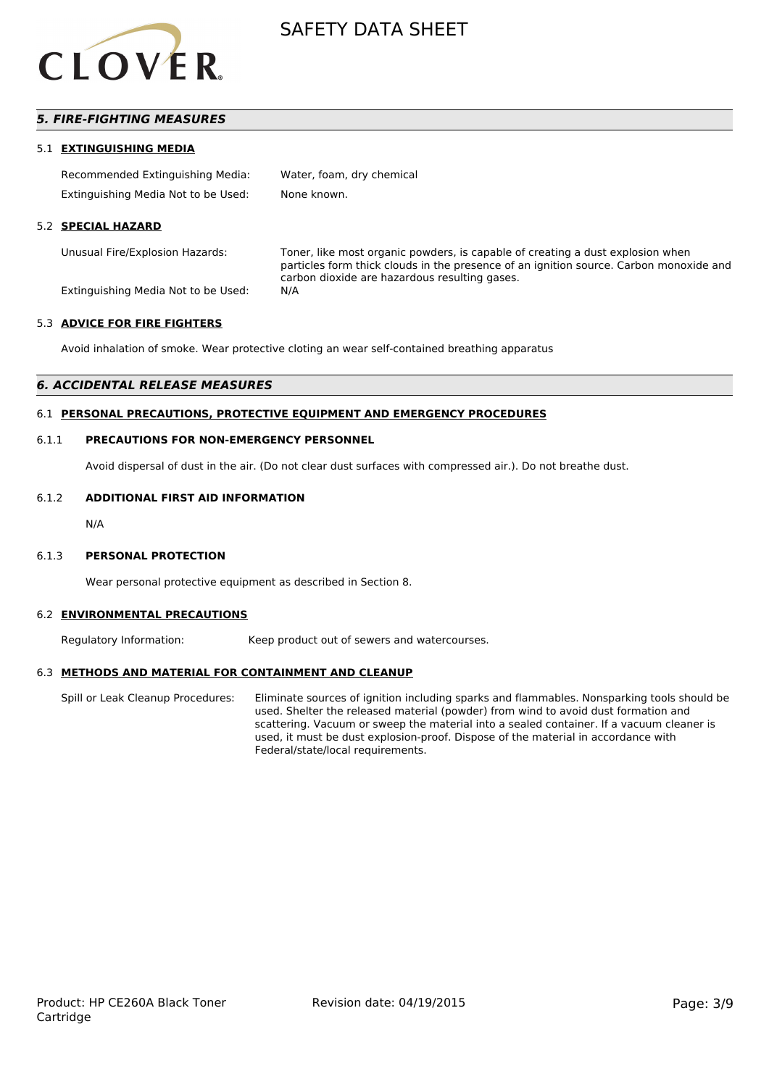

#### *5. FIRE-FIGHTING MEASURES*

#### 5.1 **EXTINGUISHING MEDIA**

| Recommended Extinguishing Media:    | Water, foam, dry chemical |
|-------------------------------------|---------------------------|
| Extinguishing Media Not to be Used: | None known.               |

#### 5.2 **SPECIAL HAZARD**

Unusual Fire/Explosion Hazards: Toner, like most organic powders, is capable of creating a dust explosion when particles form thick clouds in the presence of an ignition source. Carbon monoxide and carbon dioxide are hazardous resulting gases.

Extinguishing Media Not to be Used: N/A

#### 5.3 **ADVICE FOR FIRE FIGHTERS**

Avoid inhalation of smoke. Wear protective cloting an wear self-contained breathing apparatus

#### *6. ACCIDENTAL RELEASE MEASURES*

#### 6.1 **PERSONAL PRECAUTIONS, PROTECTIVE EQUIPMENT AND EMERGENCY PROCEDURES**

#### 6.1.1 **PRECAUTIONS FOR NON-EMERGENCY PERSONNEL**

Avoid dispersal of dust in the air. (Do not clear dust surfaces with compressed air.). Do not breathe dust.

#### 6.1.2 **ADDITIONAL FIRST AID INFORMATION**

N/A

#### 6.1.3 **PERSONAL PROTECTION**

Wear personal protective equipment as described in Section 8.

#### 6.2 **ENVIRONMENTAL PRECAUTIONS**

Regulatory Information: Keep product out of sewers and watercourses.

#### 6.3 **METHODS AND MATERIAL FOR CONTAINMENT AND CLEANUP**

Spill or Leak Cleanup Procedures: Eliminate sources of ignition including sparks and flammables. Nonsparking tools should be used. Shelter the released material (powder) from wind to avoid dust formation and scattering. Vacuum or sweep the material into a sealed container. If a vacuum cleaner is used, it must be dust explosion-proof. Dispose of the material in accordance with Federal/state/local requirements.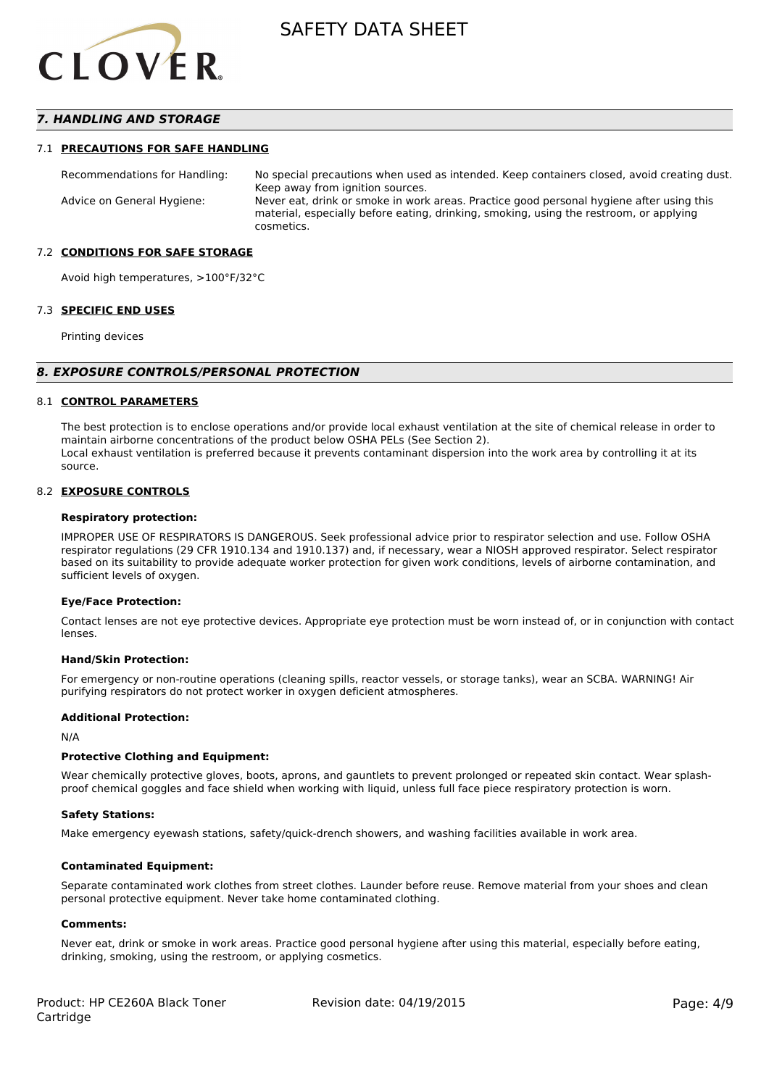

#### *7. HANDLING AND STORAGE*

#### 7.1 **PRECAUTIONS FOR SAFE HANDLING**

Recommendations for Handling: No special precautions when used as intended. Keep containers closed, avoid creating dust. Keep away from ignition sources. Advice on General Hygiene: Never eat, drink or smoke in work areas. Practice good personal hygiene after using this material, especially before eating, drinking, smoking, using the restroom, or applying cosmetics.

#### 7.2 **CONDITIONS FOR SAFE STORAGE**

Avoid high temperatures, >100°F/32°C

#### 7.3 **SPECIFIC END USES**

Printing devices

#### *8. EXPOSURE CONTROLS/PERSONAL PROTECTION*

#### 8.1 **CONTROL PARAMETERS**

The best protection is to enclose operations and/or provide local exhaust ventilation at the site of chemical release in order to maintain airborne concentrations of the product below OSHA PELs (See Section 2). Local exhaust ventilation is preferred because it prevents contaminant dispersion into the work area by controlling it at its source.

#### 8.2 **EXPOSURE CONTROLS**

#### **Respiratory protection:**

IMPROPER USE OF RESPIRATORS IS DANGEROUS. Seek professional advice prior to respirator selection and use. Follow OSHA respirator regulations (29 CFR 1910.134 and 1910.137) and, if necessary, wear a NIOSH approved respirator. Select respirator based on its suitability to provide adequate worker protection for given work conditions, levels of airborne contamination, and sufficient levels of oxygen.

#### **Eye/Face Protection:**

Contact lenses are not eye protective devices. Appropriate eye protection must be worn instead of, or in conjunction with contact lenses.

#### **Hand/Skin Protection:**

For emergency or non-routine operations (cleaning spills, reactor vessels, or storage tanks), wear an SCBA. WARNING! Air purifying respirators do not protect worker in oxygen deficient atmospheres.

#### **Additional Protection:**

N/A

#### **Protective Clothing and Equipment:**

Wear chemically protective gloves, boots, aprons, and gauntlets to prevent prolonged or repeated skin contact. Wear splashproof chemical goggles and face shield when working with liquid, unless full face piece respiratory protection is worn.

#### **Safety Stations:**

Make emergency eyewash stations, safety/quick-drench showers, and washing facilities available in work area.

#### **Contaminated Equipment:**

Separate contaminated work clothes from street clothes. Launder before reuse. Remove material from your shoes and clean personal protective equipment. Never take home contaminated clothing.

#### **Comments:**

Never eat, drink or smoke in work areas. Practice good personal hygiene after using this material, especially before eating, drinking, smoking, using the restroom, or applying cosmetics.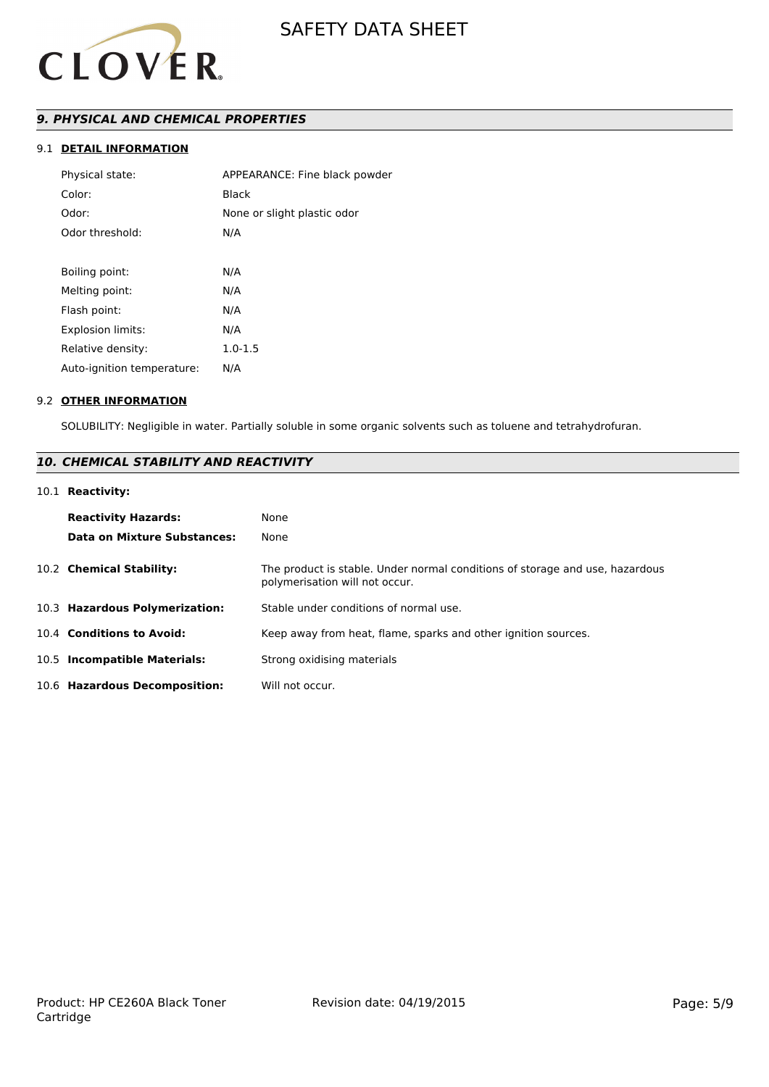

#### *9. PHYSICAL AND CHEMICAL PROPERTIES*

#### 9.1 **DETAIL INFORMATION**

| Physical state:            | APPEARANCE: Fine black powder |
|----------------------------|-------------------------------|
| Color:                     | Black                         |
| Odor:                      | None or slight plastic odor   |
| Odor threshold:            | N/A                           |
|                            |                               |
| Boiling point:             | N/A                           |
| Melting point:             | N/A                           |
| Flash point:               | N/A                           |
| Explosion limits:          | N/A                           |
| Relative density:          | $1.0 - 1.5$                   |
| Auto-ignition temperature: | N/A                           |
|                            |                               |

#### 9.2 **OTHER INFORMATION**

SOLUBILITY: Negligible in water. Partially soluble in some organic solvents such as toluene and tetrahydrofuran.

#### *10. CHEMICAL STABILITY AND REACTIVITY*

#### 10.1 **Reactivity:**

| <b>Reactivity Hazards:</b><br><b>Data on Mixture Substances:</b> | None<br>None                                                                                                   |
|------------------------------------------------------------------|----------------------------------------------------------------------------------------------------------------|
| 10.2 Chemical Stability:                                         | The product is stable. Under normal conditions of storage and use, hazardous<br>polymerisation will not occur. |
| 10.3 Hazardous Polymerization:                                   | Stable under conditions of normal use.                                                                         |
| 10.4 Conditions to Avoid:                                        | Keep away from heat, flame, sparks and other ignition sources.                                                 |
| 10.5 Incompatible Materials:                                     | Strong oxidising materials                                                                                     |
| 10.6 Hazardous Decomposition:                                    | Will not occur.                                                                                                |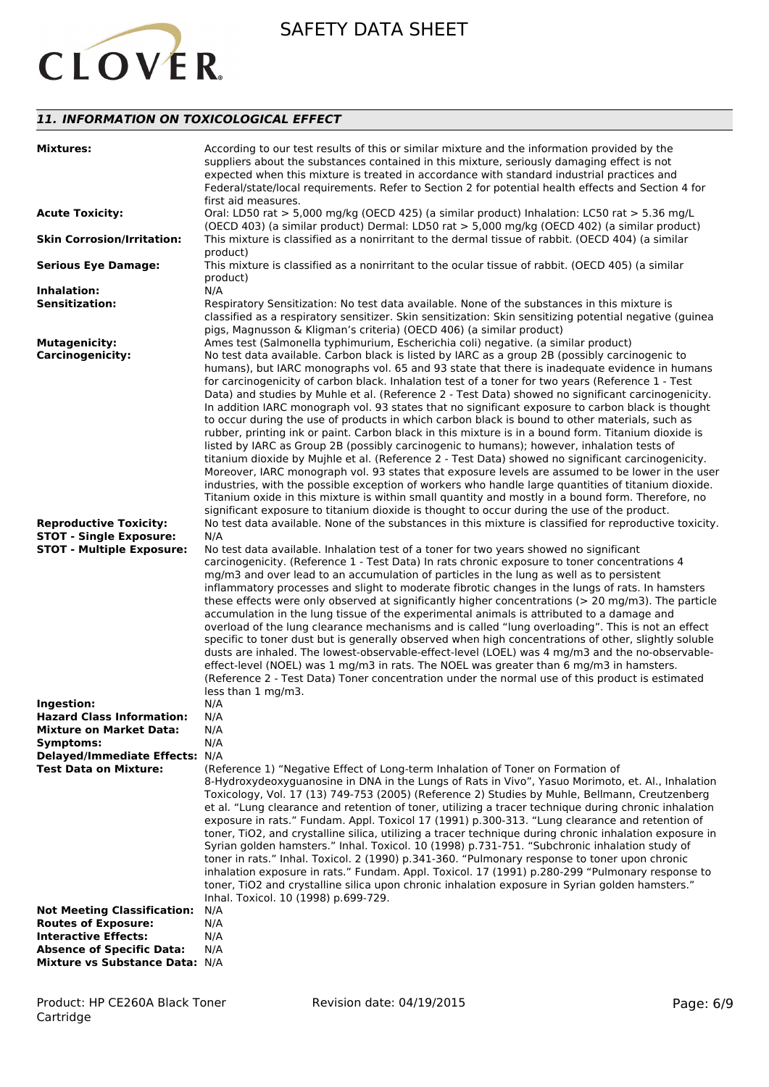

#### *11. INFORMATION ON TOXICOLOGICAL EFFECT*

| <b>Mixtures:</b>                                                                                                                                                      | According to our test results of this or similar mixture and the information provided by the<br>suppliers about the substances contained in this mixture, seriously damaging effect is not<br>expected when this mixture is treated in accordance with standard industrial practices and<br>Federal/state/local requirements. Refer to Section 2 for potential health effects and Section 4 for<br>first aid measures.                                                                                                                                                                                                                                                                                                                                                                                                                                                                                                                                                                                                                                                                                                                                                                                                                                                                                                             |
|-----------------------------------------------------------------------------------------------------------------------------------------------------------------------|------------------------------------------------------------------------------------------------------------------------------------------------------------------------------------------------------------------------------------------------------------------------------------------------------------------------------------------------------------------------------------------------------------------------------------------------------------------------------------------------------------------------------------------------------------------------------------------------------------------------------------------------------------------------------------------------------------------------------------------------------------------------------------------------------------------------------------------------------------------------------------------------------------------------------------------------------------------------------------------------------------------------------------------------------------------------------------------------------------------------------------------------------------------------------------------------------------------------------------------------------------------------------------------------------------------------------------|
| <b>Acute Toxicity:</b>                                                                                                                                                | Oral: LD50 rat > 5,000 mg/kg (OECD 425) (a similar product) Inhalation: LC50 rat > 5.36 mg/L<br>(OECD 403) (a similar product) Dermal: LD50 rat > 5,000 mg/kg (OECD 402) (a similar product)                                                                                                                                                                                                                                                                                                                                                                                                                                                                                                                                                                                                                                                                                                                                                                                                                                                                                                                                                                                                                                                                                                                                       |
| <b>Skin Corrosion/Irritation:</b>                                                                                                                                     | This mixture is classified as a nonirritant to the dermal tissue of rabbit. (OECD 404) (a similar<br>product)                                                                                                                                                                                                                                                                                                                                                                                                                                                                                                                                                                                                                                                                                                                                                                                                                                                                                                                                                                                                                                                                                                                                                                                                                      |
| <b>Serious Eye Damage:</b>                                                                                                                                            | This mixture is classified as a nonirritant to the ocular tissue of rabbit. (OECD 405) (a similar<br>product)                                                                                                                                                                                                                                                                                                                                                                                                                                                                                                                                                                                                                                                                                                                                                                                                                                                                                                                                                                                                                                                                                                                                                                                                                      |
| Inhalation:                                                                                                                                                           | N/A                                                                                                                                                                                                                                                                                                                                                                                                                                                                                                                                                                                                                                                                                                                                                                                                                                                                                                                                                                                                                                                                                                                                                                                                                                                                                                                                |
| <b>Sensitization:</b>                                                                                                                                                 | Respiratory Sensitization: No test data available. None of the substances in this mixture is<br>classified as a respiratory sensitizer. Skin sensitization: Skin sensitizing potential negative (guinea<br>pigs, Magnusson & Kligman's criteria) (OECD 406) (a similar product)                                                                                                                                                                                                                                                                                                                                                                                                                                                                                                                                                                                                                                                                                                                                                                                                                                                                                                                                                                                                                                                    |
| <b>Mutagenicity:</b><br><b>Carcinogenicity:</b>                                                                                                                       | Ames test (Salmonella typhimurium, Escherichia coli) negative. (a similar product)<br>No test data available. Carbon black is listed by IARC as a group 2B (possibly carcinogenic to<br>humans), but IARC monographs vol. 65 and 93 state that there is inadequate evidence in humans<br>for carcinogenicity of carbon black. Inhalation test of a toner for two years (Reference 1 - Test<br>Data) and studies by Muhle et al. (Reference 2 - Test Data) showed no significant carcinogenicity.<br>In addition IARC monograph vol. 93 states that no significant exposure to carbon black is thought<br>to occur during the use of products in which carbon black is bound to other materials, such as<br>rubber, printing ink or paint. Carbon black in this mixture is in a bound form. Titanium dioxide is<br>listed by IARC as Group 2B (possibly carcinogenic to humans); however, inhalation tests of<br>titanium dioxide by Mujhle et al. (Reference 2 - Test Data) showed no significant carcinogenicity.<br>Moreover, IARC monograph vol. 93 states that exposure levels are assumed to be lower in the user<br>industries, with the possible exception of workers who handle large quantities of titanium dioxide.<br>Titanium oxide in this mixture is within small quantity and mostly in a bound form. Therefore, no |
| <b>Reproductive Toxicity:</b><br><b>STOT - Single Exposure:</b><br><b>STOT - Multiple Exposure:</b>                                                                   | significant exposure to titanium dioxide is thought to occur during the use of the product.<br>No test data available. None of the substances in this mixture is classified for reproductive toxicity.<br>N/A<br>No test data available. Inhalation test of a toner for two years showed no significant                                                                                                                                                                                                                                                                                                                                                                                                                                                                                                                                                                                                                                                                                                                                                                                                                                                                                                                                                                                                                            |
|                                                                                                                                                                       | carcinogenicity. (Reference 1 - Test Data) In rats chronic exposure to toner concentrations 4<br>mg/m3 and over lead to an accumulation of particles in the lung as well as to persistent<br>inflammatory processes and slight to moderate fibrotic changes in the lungs of rats. In hamsters<br>these effects were only observed at significantly higher concentrations (> 20 mg/m3). The particle<br>accumulation in the lung tissue of the experimental animals is attributed to a damage and<br>overload of the lung clearance mechanisms and is called "lung overloading". This is not an effect<br>specific to toner dust but is generally observed when high concentrations of other, slightly soluble<br>dusts are inhaled. The lowest-observable-effect-level (LOEL) was 4 mg/m3 and the no-observable-<br>effect-level (NOEL) was 1 mg/m3 in rats. The NOEL was greater than 6 mg/m3 in hamsters.<br>(Reference 2 - Test Data) Toner concentration under the normal use of this product is estimated<br>less than 1 mg/m3.                                                                                                                                                                                                                                                                                               |
| Ingestion:                                                                                                                                                            | N/A                                                                                                                                                                                                                                                                                                                                                                                                                                                                                                                                                                                                                                                                                                                                                                                                                                                                                                                                                                                                                                                                                                                                                                                                                                                                                                                                |
| <b>Hazard Class Information:</b>                                                                                                                                      | N/A                                                                                                                                                                                                                                                                                                                                                                                                                                                                                                                                                                                                                                                                                                                                                                                                                                                                                                                                                                                                                                                                                                                                                                                                                                                                                                                                |
| <b>Mixture on Market Data:</b>                                                                                                                                        | N/A                                                                                                                                                                                                                                                                                                                                                                                                                                                                                                                                                                                                                                                                                                                                                                                                                                                                                                                                                                                                                                                                                                                                                                                                                                                                                                                                |
| Symptoms:                                                                                                                                                             | N/A                                                                                                                                                                                                                                                                                                                                                                                                                                                                                                                                                                                                                                                                                                                                                                                                                                                                                                                                                                                                                                                                                                                                                                                                                                                                                                                                |
| Delayed/Immediate Effects: N/A<br><b>Test Data on Mixture:</b>                                                                                                        | (Reference 1) "Negative Effect of Long-term Inhalation of Toner on Formation of<br>8-Hydroxydeoxyguanosine in DNA in the Lungs of Rats in Vivo", Yasuo Morimoto, et. Al., Inhalation<br>Toxicology, Vol. 17 (13) 749-753 (2005) (Reference 2) Studies by Muhle, Bellmann, Creutzenberg<br>et al. "Lung clearance and retention of toner, utilizing a tracer technique during chronic inhalation<br>exposure in rats." Fundam. Appl. Toxicol 17 (1991) p.300-313. "Lung clearance and retention of<br>toner, TiO2, and crystalline silica, utilizing a tracer technique during chronic inhalation exposure in<br>Syrian golden hamsters." Inhal. Toxicol. 10 (1998) p.731-751. "Subchronic inhalation study of<br>toner in rats." Inhal. Toxicol. 2 (1990) p.341-360. "Pulmonary response to toner upon chronic                                                                                                                                                                                                                                                                                                                                                                                                                                                                                                                     |
| <b>Not Meeting Classification:</b><br><b>Routes of Exposure:</b><br><b>Interactive Effects:</b><br><b>Absence of Specific Data:</b><br>Mixture vs Substance Data: N/A | inhalation exposure in rats." Fundam. Appl. Toxicol. 17 (1991) p.280-299 "Pulmonary response to<br>toner, TiO2 and crystalline silica upon chronic inhalation exposure in Syrian golden hamsters."<br>Inhal. Toxicol. 10 (1998) p.699-729.<br>N/A<br>N/A<br>N/A<br>N/A                                                                                                                                                                                                                                                                                                                                                                                                                                                                                                                                                                                                                                                                                                                                                                                                                                                                                                                                                                                                                                                             |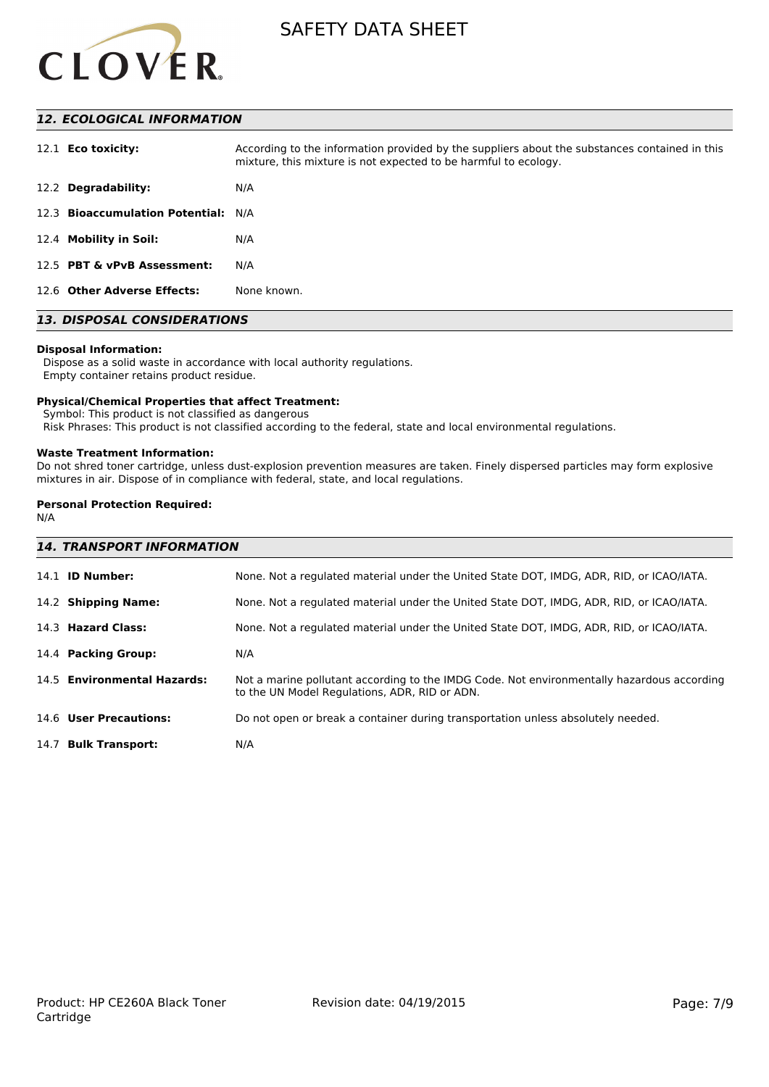

#### *12. ECOLOGICAL INFORMATION*

| 12.1 <b>Eco toxicity:</b>           | According to the information provided by the suppliers about the substances contained in this<br>mixture, this mixture is not expected to be harmful to ecology. |
|-------------------------------------|------------------------------------------------------------------------------------------------------------------------------------------------------------------|
| 12.2 Degradability:                 | N/A                                                                                                                                                              |
| 12.3 Bioaccumulation Potential: N/A |                                                                                                                                                                  |
| 12.4 Mobility in Soil:              | N/A                                                                                                                                                              |
| 12.5 PBT & vPvB Assessment:         | N/A                                                                                                                                                              |
| 12.6 Other Adverse Effects:         | None known.                                                                                                                                                      |

### *13. DISPOSAL CONSIDERATIONS*

#### **Disposal Information:**

 Dispose as a solid waste in accordance with local authority regulations. Empty container retains product residue.

#### **Physical/Chemical Properties that affect Treatment:**

Symbol: This product is not classified as dangerous

Risk Phrases: This product is not classified according to the federal, state and local environmental regulations.

#### **Waste Treatment Information:**

Do not shred toner cartridge, unless dust-explosion prevention measures are taken. Finely dispersed particles may form explosive mixtures in air. Dispose of in compliance with federal, state, and local regulations.

#### **Personal Protection Required:**

N/A

| <b>14. TRANSPORT INFORMATION</b> |                                                                                                                                             |  |
|----------------------------------|---------------------------------------------------------------------------------------------------------------------------------------------|--|
| 14.1 <b>ID Number:</b>           | None. Not a regulated material under the United State DOT, IMDG, ADR, RID, or ICAO/IATA.                                                    |  |
| 14.2 Shipping Name:              | None. Not a regulated material under the United State DOT, IMDG, ADR, RID, or ICAO/IATA.                                                    |  |
| 14.3 Hazard Class:               | None. Not a regulated material under the United State DOT, IMDG, ADR, RID, or ICAO/IATA.                                                    |  |
| 14.4 Packing Group:              | N/A                                                                                                                                         |  |
| 14.5 Environmental Hazards:      | Not a marine pollutant according to the IMDG Code. Not environmentally hazardous according<br>to the UN Model Regulations, ADR, RID or ADN. |  |
| 14.6 User Precautions:           | Do not open or break a container during transportation unless absolutely needed.                                                            |  |
| 14.7 Bulk Transport:             | N/A                                                                                                                                         |  |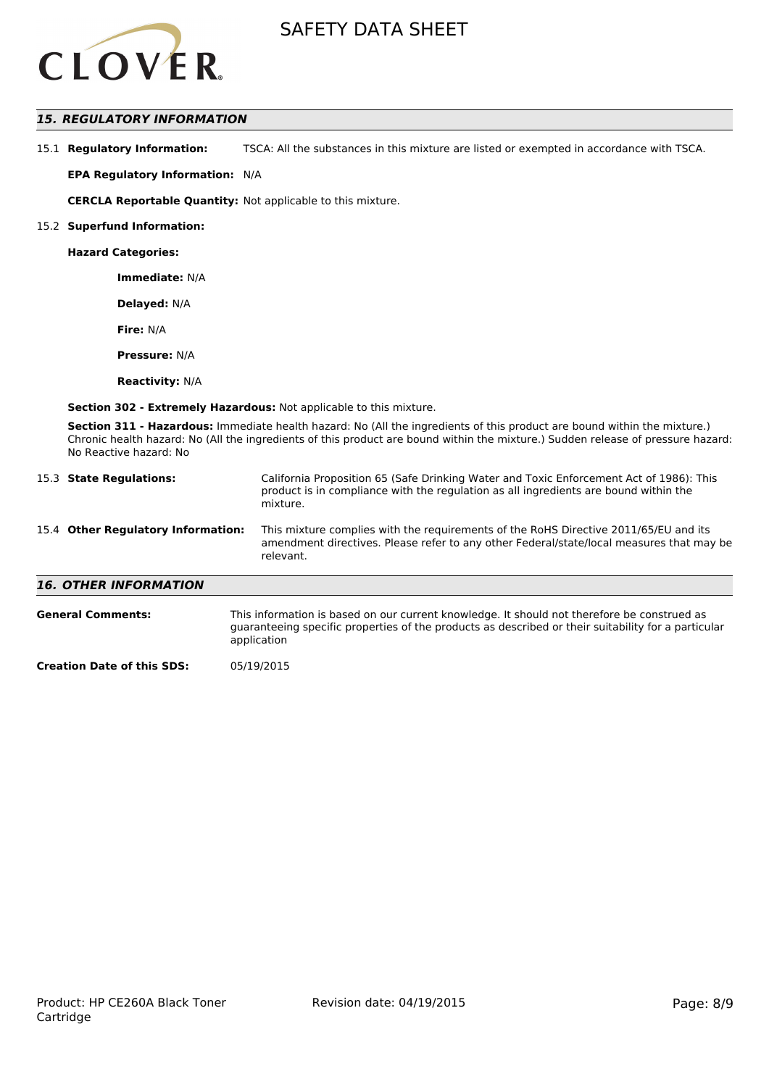

#### *15. REGULATORY INFORMATION*

15.1 **Regulatory Information:** TSCA: All the substances in this mixture are listed or exempted in accordance with TSCA.

**EPA Regulatory Information:** N/A

**CERCLA Reportable Quantity:** Not applicable to this mixture.

#### 15.2 **Superfund Information:**

**Hazard Categories:**

**Immediate:** N/A

**Delayed:** N/A

**Fire:** N/A

**Pressure:** N/A

**Reactivity:** N/A

**Section 302 - Extremely Hazardous:** Not applicable to this mixture.

**Section 311 - Hazardous:** Immediate health hazard: No (All the ingredients of this product are bound within the mixture.) Chronic health hazard: No (All the ingredients of this product are bound within the mixture.) Sudden release of pressure hazard: No Reactive hazard: No

|                                    | 15.3 State Regulations:      | California Proposition 65 (Safe Drinking Water and Toxic Enforcement Act of 1986): This<br>product is in compliance with the regulation as all ingredients are bound within the<br>mixture.   |  |
|------------------------------------|------------------------------|-----------------------------------------------------------------------------------------------------------------------------------------------------------------------------------------------|--|
| 15.4 Other Regulatory Information: |                              | This mixture complies with the requirements of the RoHS Directive 2011/65/EU and its<br>amendment directives. Please refer to any other Federal/state/local measures that may be<br>relevant. |  |
|                                    | <b>16. OTHER INFORMATION</b> |                                                                                                                                                                                               |  |
|                                    | <b>General Comments:</b>     | This information is based on our current knowledge. It should not therefore be construed as                                                                                                   |  |

guaranteeing specific properties of the products as described or their suitability for a particular

application

**Creation Date of this SDS:** 05/19/2015